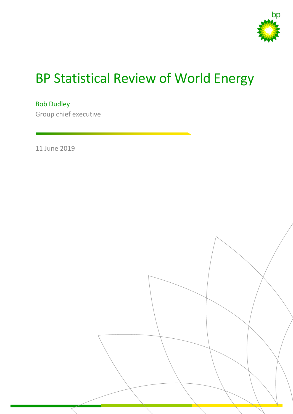

# BP Statistical Review of World Energy

Bob Dudley Group chief executive

11 June 2019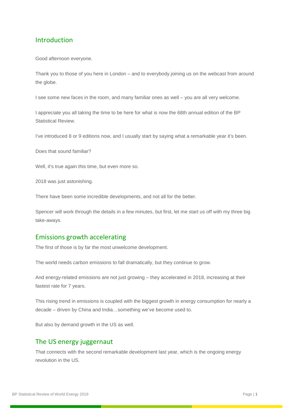## Introduction

Good afternoon everyone.

Thank you to those of you here in London – and to everybody joining us on the webcast from around the globe.

I see some new faces in the room, and many familiar ones as well – you are all very welcome.

I appreciate you all taking the time to be here for what is now the 68th annual edition of the BP Statistical Review.

I've introduced 8 or 9 editions now, and I usually start by saying what a remarkable year it's been.

Does that sound familiar?

Well, it's true again this time, but even more so.

2018 was just astonishing.

There have been some incredible developments, and not all for the better.

Spencer will work through the details in a few minutes, but first, let me start us off with my three big take-aways.

#### Emissions growth accelerating

The first of those is by far the most unwelcome development.

The world needs carbon emissions to fall dramatically, but they continue to grow.

And energy-related emissions are not just growing – they accelerated in 2018, increasing at their fastest rate for 7 years.

This rising trend in emissions is coupled with the biggest growth in energy consumption for nearly a decade – driven by China and India…something we've become used to.

But also by demand growth in the US as well.

#### The US energy juggernaut

That connects with the second remarkable development last year, which is the ongoing energy revolution in the US.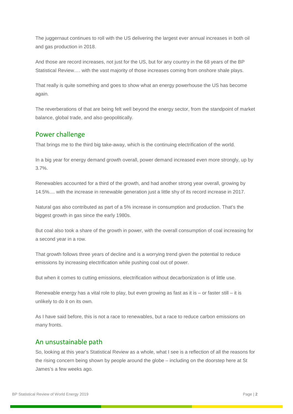The juggernaut continues to roll with the US delivering the largest ever annual increases in both oil and gas production in 2018.

And those are record increases, not just for the US, but for any country in the 68 years of the BP Statistical Review…. with the vast majority of those increases coming from onshore shale plays.

That really is quite something and goes to show what an energy powerhouse the US has become again.

The reverberations of that are being felt well beyond the energy sector, from the standpoint of market balance, global trade, and also geopolitically.

## Power challenge

That brings me to the third big take-away, which is the continuing electrification of the world.

In a big year for energy demand growth overall, power demand increased even more strongly, up by 3.7%.

Renewables accounted for a third of the growth, and had another strong year overall, growing by 14.5%.... with the increase in renewable generation just a little shy of its record increase in 2017.

Natural gas also contributed as part of a 5% increase in consumption and production. That's the biggest growth in gas since the early 1980s.

But coal also took a share of the growth in power, with the overall consumption of coal increasing for a second year in a row.

That growth follows three years of decline and is a worrying trend given the potential to reduce emissions by increasing electrification while pushing coal out of power.

But when it comes to cutting emissions, electrification without decarbonization is of little use.

Renewable energy has a vital role to play, but even growing as fast as it is – or faster still – it is unlikely to do it on its own.

As I have said before, this is not a race to renewables, but a race to reduce carbon emissions on many fronts.

### An unsustainable path

So, looking at this year's Statistical Review as a whole, what I see is a reflection of all the reasons for the rising concern being shown by people around the globe – including on the doorstep here at St James's a few weeks ago.